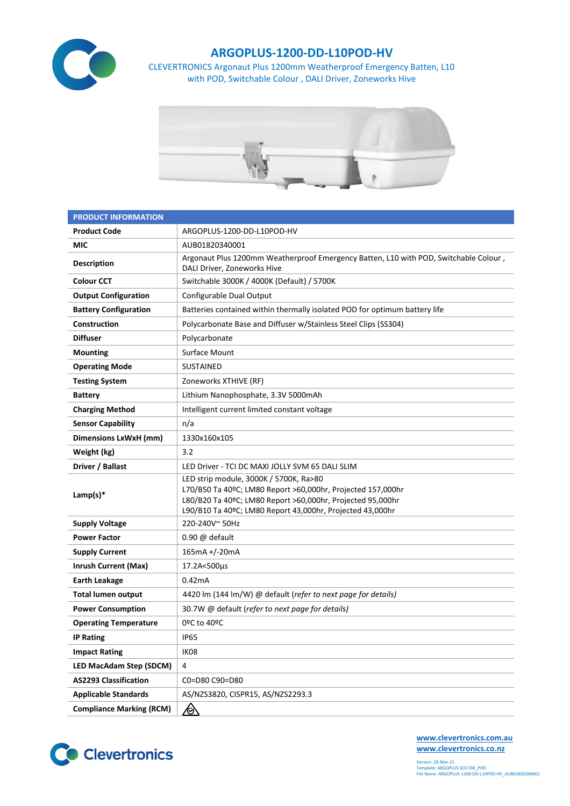

## **ARGOPLUS-1200-DD-L10POD-HV**

CLEVERTRONICS Argonaut Plus 1200mm Weatherproof Emergency Batten, L10 with POD, Switchable Colour , DALI Driver, Zoneworks Hive



| <b>PRODUCT INFORMATION</b>      |                                                                                                                                                                                                                                  |  |  |  |  |
|---------------------------------|----------------------------------------------------------------------------------------------------------------------------------------------------------------------------------------------------------------------------------|--|--|--|--|
| <b>Product Code</b>             | ARGOPLUS-1200-DD-L10POD-HV                                                                                                                                                                                                       |  |  |  |  |
| <b>MIC</b>                      | AUB01820340001                                                                                                                                                                                                                   |  |  |  |  |
| <b>Description</b>              | Argonaut Plus 1200mm Weatherproof Emergency Batten, L10 with POD, Switchable Colour,<br>DALI Driver, Zoneworks Hive                                                                                                              |  |  |  |  |
| <b>Colour CCT</b>               | Switchable 3000K / 4000K (Default) / 5700K                                                                                                                                                                                       |  |  |  |  |
| <b>Output Configuration</b>     | Configurable Dual Output                                                                                                                                                                                                         |  |  |  |  |
| <b>Battery Configuration</b>    | Batteries contained within thermally isolated POD for optimum battery life                                                                                                                                                       |  |  |  |  |
| Construction                    | Polycarbonate Base and Diffuser w/Stainless Steel Clips (SS304)                                                                                                                                                                  |  |  |  |  |
| <b>Diffuser</b>                 | Polycarbonate                                                                                                                                                                                                                    |  |  |  |  |
| <b>Mounting</b>                 | Surface Mount                                                                                                                                                                                                                    |  |  |  |  |
| <b>Operating Mode</b>           | <b>SUSTAINED</b>                                                                                                                                                                                                                 |  |  |  |  |
| <b>Testing System</b>           | Zoneworks XTHIVE (RF)                                                                                                                                                                                                            |  |  |  |  |
| <b>Battery</b>                  | Lithium Nanophosphate, 3.3V 5000mAh                                                                                                                                                                                              |  |  |  |  |
| <b>Charging Method</b>          | Intelligent current limited constant voltage                                                                                                                                                                                     |  |  |  |  |
| <b>Sensor Capability</b>        | n/a                                                                                                                                                                                                                              |  |  |  |  |
| Dimensions LxWxH (mm)           | 1330x160x105                                                                                                                                                                                                                     |  |  |  |  |
| Weight (kg)                     | 3.2                                                                                                                                                                                                                              |  |  |  |  |
| Driver / Ballast                | LED Driver - TCI DC MAXI JOLLY SVM 65 DALI SLIM                                                                                                                                                                                  |  |  |  |  |
| Lamp(s) $*$                     | LED strip module, 3000K / 5700K, Ra>80<br>L70/B50 Ta 40ºC; LM80 Report >60,000hr, Projected 157,000hr<br>L80/B20 Ta 40ºC; LM80 Report >60,000hr, Projected 95,000hr<br>L90/B10 Ta 40ºC; LM80 Report 43,000hr, Projected 43,000hr |  |  |  |  |
| <b>Supply Voltage</b>           | 220-240V~50Hz                                                                                                                                                                                                                    |  |  |  |  |
| <b>Power Factor</b>             | $0.90 \omega$ default                                                                                                                                                                                                            |  |  |  |  |
| <b>Supply Current</b>           | 165mA +/-20mA                                                                                                                                                                                                                    |  |  |  |  |
| <b>Inrush Current (Max)</b>     | 17.2A<500µs                                                                                                                                                                                                                      |  |  |  |  |
| <b>Earth Leakage</b>            | 0.42mA                                                                                                                                                                                                                           |  |  |  |  |
| <b>Total lumen output</b>       | 4420 lm (144 lm/W) @ default (refer to next page for details)                                                                                                                                                                    |  |  |  |  |
| <b>Power Consumption</b>        | 30.7W @ default (refer to next page for details)                                                                                                                                                                                 |  |  |  |  |
| <b>Operating Temperature</b>    | 0ºC to 40ºC                                                                                                                                                                                                                      |  |  |  |  |
| <b>IP Rating</b>                | <b>IP65</b>                                                                                                                                                                                                                      |  |  |  |  |
| <b>Impact Rating</b>            | IK08                                                                                                                                                                                                                             |  |  |  |  |
| LED MacAdam Step (SDCM)         | 4                                                                                                                                                                                                                                |  |  |  |  |
| <b>AS2293 Classification</b>    | C0=D80 C90=D80                                                                                                                                                                                                                   |  |  |  |  |
| <b>Applicable Standards</b>     | AS/NZS3820, CISPR15, AS/NZS2293.3                                                                                                                                                                                                |  |  |  |  |
| <b>Compliance Marking (RCM)</b> | <u>⁄⊗</u>                                                                                                                                                                                                                        |  |  |  |  |



**[www.clevertronics.com.au](http://www.clevertronics.com.au/) www.clevertronics.co.nz**

Version: 26-Mar-21 Template: ARGOPLUS SCO EM\_POD File Name: ARGOPLUS-1200-DD-L10POD-HV\_AUB01820340001